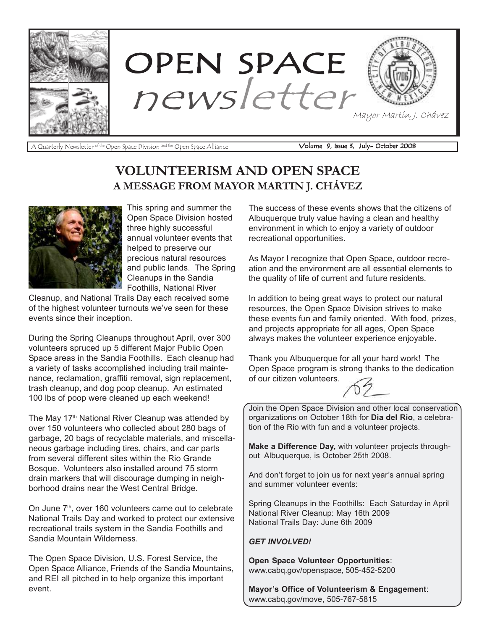

A Quarterly Newsletter <sup>of the</sup> Open Space Division <sup>and the</sup> Open Space Alliance **Volume 9, Issue 3, July- October 2008** 

### VOLUNTEERISM AND OPEN SPACE A MESSAGE FROM MAYOR MARTIN J. CHÁVEZ



This spring and summer the Open Space Division hosted three highly successful annual volunteer events that helped to preserve our precious natural resources and public lands. The Spring Cleanups in the Sandia Foothills, National River

Cleanup, and National Trails Day each received some of the highest volunteer turnouts we've seen for these events since their inception.

During the Spring Cleanups throughout April, over 300 volunteers spruced up 5 different Major Public Open Space areas in the Sandia Foothills. Each cleanup had a variety of tasks accomplished including trail maintenance, reclamation, graffiti removal, sign replacement, trash cleanup, and dog poop cleanup. An estimated 100 lbs of poop were cleaned up each weekend!

The May 17<sup>th</sup> National River Cleanup was attended by over 150 volunteers who collected about 280 bags of garbage, 20 bags of recyclable materials, and miscellaneous garbage including tires, chairs, and car parts from several different sites within the Rio Grande Bosque. Volunteers also installed around 75 storm drain markers that will discourage dumping in neighborhood drains near the West Central Bridge.

On June 7<sup>th</sup>, over 160 volunteers came out to celebrate National Trails Day and worked to protect our extensive recreational trails system in the Sandia Foothills and Sandia Mountain Wilderness.

The Open Space Division, U.S. Forest Service, the Open Space Alliance, Friends of the Sandia Mountains, and REI all pitched in to help organize this important event.

The success of these events shows that the citizens of Albuquerque truly value having a clean and healthy environment in which to enjoy a variety of outdoor recreational opportunities.

As Mayor I recognize that Open Space, outdoor recreation and the environment are all essential elements to the quality of life of current and future residents.

In addition to being great ways to protect our natural resources, the Open Space Division strives to make these events fun and family oriented. With food, prizes, and projects appropriate for all ages, Open Space always makes the volunteer experience enjoyable.

Thank you Albuquerque for all your hard work! The Open Space program is strong thanks to the dedication of our citizen volunteers.



Join the Open Space Division and other local conservation organizations on October 18th for Dia del Rio, a celebration of the Rio with fun and a volunteer projects.

Make a Difference Day, with volunteer projects throughout Albuquerque, is October 25th 2008.

And don't forget to join us for next year's annual spring and summer volunteer events:

Spring Cleanups in the Foothills: Each Saturday in April National River Cleanup: May 16th 2009 National Trails Day: June 6th 2009

#### GET INVOLVED!

Open Space Volunteer Opportunities: www.cabq.gov/openspace, 505-452-5200

Mayor's Office of Volunteerism & Engagement: www.cabq.gov/move, 505-767-5815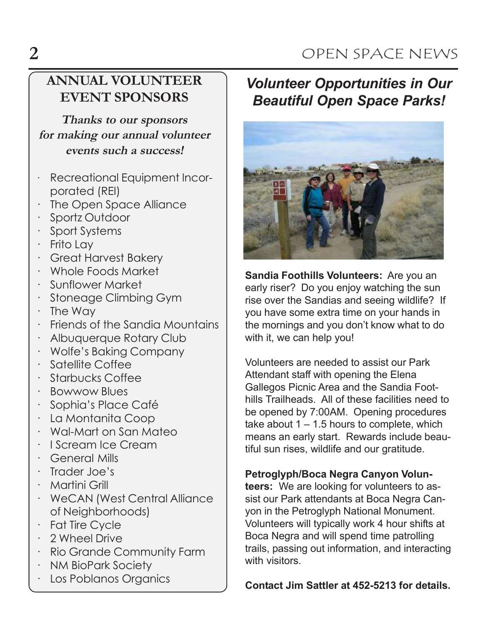# 2 OPEN SPACE NEWS

## ANNUAL VOLUNTEER EVENT SPONSORS

Thanks to our sponsors for making our annual volunteer events such a success!

- · Recreational Equipment Incorporated (REI)
- The Open Space Alliance
- Sportz Outdoor
- · Sport Systems
- · Frito Lay
- · Great Harvest Bakery
- · Whole Foods Market
- · Sunflower Market
- · Stoneage Climbing Gym
- · The Way
- · Friends of the Sandia Mountains
- · Albuquerque Rotary Club
- · Wolfe's Baking Company
- · Satellite Coffee
- · Starbucks Coffee
- · Bowwow Blues
- Sophia's Place Café
- · La Montanita Coop
- · Wal-Mart on San Mateo
- · I Scream Ice Cream
- · General Mills
- · Trader Joe's
- · Martini Grill
- · WeCAN (West Central Alliance of Neighborhoods)
- · Fat Tire Cycle
- · 2 Wheel Drive
- · Rio Grande Community Farm
- · NM BioPark Society
- · Los Poblanos Organics

# Volunteer Opportunities in Our Beautiful Open Space Parks!



Sandia Foothills Volunteers: Are you an early riser? Do you enjoy watching the sun rise over the Sandias and seeing wildlife? If you have some extra time on your hands in the mornings and you don't know what to do with it, we can help you!

Volunteers are needed to assist our Park Attendant staff with opening the Elena Gallegos Picnic Area and the Sandia Foothills Trailheads. All of these facilities need to be opened by 7:00AM. Opening procedures take about  $1 - 1.5$  hours to complete, which means an early start. Rewards include beautiful sun rises, wildlife and our gratitude.

### Petroglyph/Boca Negra Canyon Volun-

teers: We are looking for volunteers to assist our Park attendants at Boca Negra Canyon in the Petroglyph National Monument. Volunteers will typically work 4 hour shifts at Boca Negra and will spend time patrolling trails, passing out information, and interacting with visitors.

Contact Jim Sattler at 452-5213 for details.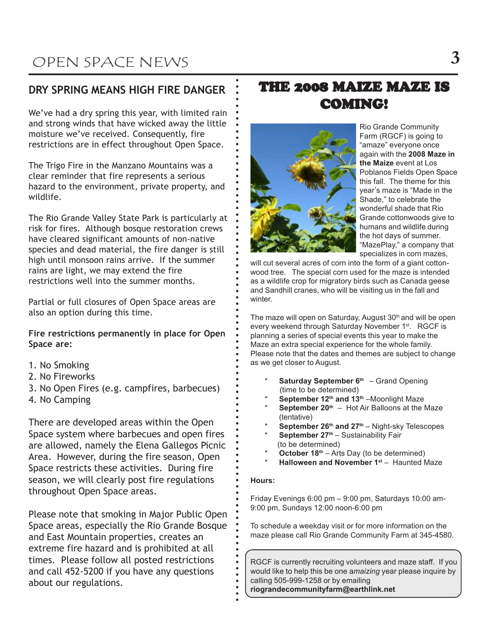### DRY SPRING MEANS HIGH FIRE DANGER

We've had a dry spring this year, with limited rain and strong winds that have wicked away the little moisture we've received. Consequently, fire restrictions are in effect throughout Open Space.

The Trigo Fire in the Manzano Mountains was a clear reminder that fire represents a serious hazard to the environment, private property, and wildlife.

The Rio Grande Valley State Park is particularly at risk for fires. Although bosque restoration crews have cleared significant amounts of non-native species and dead material, the fire danger is still high until monsoon rains arrive. If the summer rains are light, we may extend the fire restrictions well into the summer months.

Partial or full closures of Open Space areas are also an option during this time.

Fire restrictions permanently in place for Open Space are:

- 1. No Smoking
- 2. No Fireworks
- 3. No Open Fires (e.g. campfires, barbecues)
- 4. No Camping

There are developed areas within the Open Space system where barbecues and open fires are allowed, namely the Elena Gallegos Picnic Area. However, during the fire season, Open Space restricts these activities. During fire season, we will clearly post fire regulations throughout Open Space areas.

Please note that smoking in Major Public Open Space areas, especially the Rio Grande Bosque and East Mountain properties, creates an extreme fire hazard and is prohibited at all times. Please follow all posted restrictions and call 452-5200 if you have any questions about our regulations.

## THE 2008 MAIZE MAZE IS COMING!



a a a a a a a a a a a a a a a a a a a a a a a a a a a a a a a a a a a a a a a a a a a a a a a a a a a a a a a a a a a a a a a a a a a a a a a a a a a a a a a a a aa

Rio Grande Community Farm (RGCF) is going to "amaze" everyone once again with the 2008 Maze in the Maize event at Los Poblanos Fields Open Space this fall. The theme for this year's maze is "Made in the Shade," to celebrate the wonderful shade that Rio Grande cottonwoods give to humans and wildlife during the hot days of summer. "MazePlay," a company that specializes in corn mazes,

will cut several acres of corn into the form of a giant cottonwood tree. The special corn used for the maze is intended as a wildlife crop for migratory birds such as Canada geese and Sandhill cranes, who will be visiting us in the fall and winter.

The maze will open on Saturday, August 30<sup>th</sup> and will be open every weekend through Saturday November 1<sup>st</sup>. RGCF is planning a series of special events this year to make the Maze an extra special experience for the whole family. Please note that the dates and themes are subject to change as we get closer to August.

- **Saturday September 6th**  $-$  Grand Opening (time to be determined)
- September 12<sup>th</sup> and 13<sup>th</sup> –Moonlight Maze
- **September 20th Hot Air Balloons at the Maze** (tentative)
- September  $26<sup>th</sup>$  and  $27<sup>th</sup>$  Night-sky Telescopes
- **September 27th Sustainability Fair** (to be determined)
- \* October  $18<sup>th</sup>$  Arts Day (to be determined)
- Halloween and November  $1<sup>st</sup>$  Haunted Maze

#### Hours:

Friday Evenings 6:00 pm – 9:00 pm, Saturdays 10:00 am-9:00 pm, Sundays 12:00 noon-6:00 pm

To schedule a weekday visit or for more information on the maze please call Rio Grande Community Farm at 345-4580.

RGCF is currently recruiting volunteers and maze staff. If you would like to help this be one amaizing year please inquire by calling 505-999-1258 or by emailing riograndecommunityfarm@earthlink.net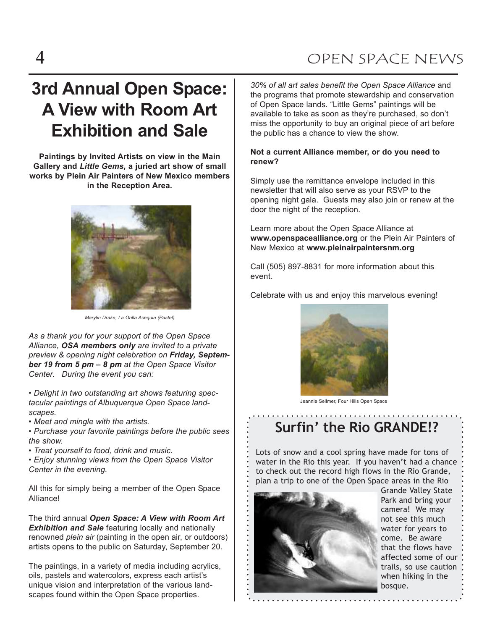# 3rd Annual Open Space: A View with Room Art Exhibition and Sale

Paintings by Invited Artists on view in the Main Gallery and Little Gems, a juried art show of small works by Plein Air Painters of New Mexico members in the Reception Area.



Marylin Drake, La Orilla Acequia (Pastel)

As a thank you for your support of the Open Space Alliance, OSA members only are invited to a private preview & opening night celebration on Friday, September 19 from 5 pm – 8 pm at the Open Space Visitor Center. During the event you can:

• Delight in two outstanding art shows featuring spectacular paintings of Albuquerque Open Space landscapes.

• Meet and mingle with the artists.

• Purchase your favorite paintings before the public sees the show.

- Treat yourself to food, drink and music.
- Enjoy stunning views from the Open Space Visitor Center in the evening.

All this for simply being a member of the Open Space Alliance!

The third annual Open Space: A View with Room Art **Exhibition and Sale** featuring locally and nationally renowned *plein air* (painting in the open air, or outdoors) artists opens to the public on Saturday, September 20.

The paintings, in a variety of media including acrylics, oils, pastels and watercolors, express each artist's unique vision and interpretation of the various landscapes found within the Open Space properties.

30% of all art sales benefit the Open Space Alliance and the programs that promote stewardship and conservation of Open Space lands. "Little Gems" paintings will be available to take as soon as they're purchased, so don't miss the opportunity to buy an original piece of art before the public has a chance to view the show.

#### Not a current Alliance member, or do you need to renew?

Simply use the remittance envelope included in this newsletter that will also serve as your RSVP to the opening night gala. Guests may also join or renew at the door the night of the reception.

Learn more about the Open Space Alliance at www.openspacealliance.org or the Plein Air Painters of New Mexico at www.pleinairpaintersnm.org

Call (505) 897-8831 for more information about this event.

Celebrate with us and enjoy this marvelous evening!



Jeannie Sellmer, Four Hills Open Space

# Surfin' the Rio GRANDE!?

Lots of snow and a cool spring have made for tons of water in the Rio this year. If you haven't had a chance to check out the record high flows in the Rio Grande, plan a trip to one of the Open Space areas in the Rio



Grande Valley State Park and bring your camera! We may not see this much water for years to come. Be aware that the flows have affected some of our trails, so use caution when hiking in the bosque.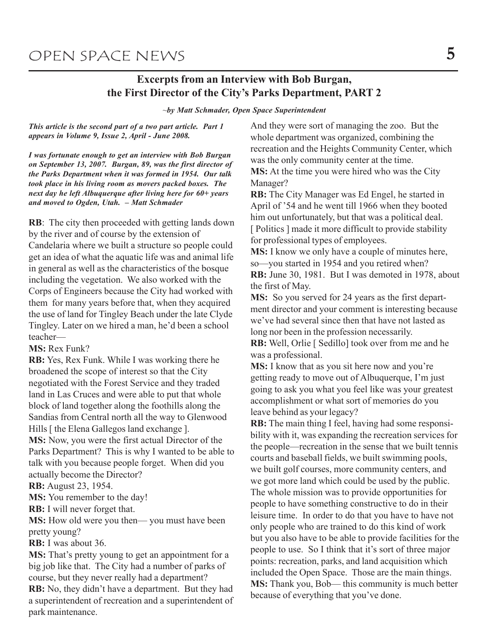### Excerpts from an Interview with Bob Burgan, the First Director of the City's Parks Department, PART 2

 $\neg$ by Matt Schmader, Open Space Superintendent

This article is the second part of a two part article. Part 1 appears in Volume 9, Issue 2, April - June 2008.

I was fortunate enough to get an interview with Bob Burgan on September 13, 2007. Burgan, 89, was the first director of the Parks Department when it was formed in 1954. Our talk took place in his living room as movers packed boxes. The next day he left Albuquerque after living here for 60+ years and moved to Ogden, Utah. – Matt Schmader

RB: The city then proceeded with getting lands down by the river and of course by the extension of Candelaria where we built a structure so people could get an idea of what the aquatic life was and animal life in general as well as the characteristics of the bosque including the vegetation. We also worked with the Corps of Engineers because the City had worked with them for many years before that, when they acquired the use of land for Tingley Beach under the late Clyde Tingley. Later on we hired a man, he'd been a school teacher—

MS: Rex Funk?

RB: Yes, Rex Funk. While I was working there he broadened the scope of interest so that the City negotiated with the Forest Service and they traded land in Las Cruces and were able to put that whole block of land together along the foothills along the Sandias from Central north all the way to Glenwood Hills [ the Elena Gallegos land exchange ].

MS: Now, you were the first actual Director of the Parks Department? This is why I wanted to be able to talk with you because people forget. When did you actually become the Director?

RB: August 23, 1954.

MS: You remember to the day!

RB: I will never forget that.

MS: How old were you then— you must have been pretty young?

RB: I was about 36.

MS: That's pretty young to get an appointment for a big job like that. The City had a number of parks of course, but they never really had a department?

RB: No, they didn't have a department. But they had a superintendent of recreation and a superintendent of park maintenance.

And they were sort of managing the zoo. But the whole department was organized, combining the recreation and the Heights Community Center, which was the only community center at the time. MS: At the time you were hired who was the City Manager?

RB: The City Manager was Ed Engel, he started in April of '54 and he went till 1966 when they booted him out unfortunately, but that was a political deal. [ Politics ] made it more difficult to provide stability for professional types of employees.

MS: I know we only have a couple of minutes here, so—you started in 1954 and you retired when? RB: June 30, 1981. But I was demoted in 1978, about the first of May.

MS: So you served for 24 years as the first department director and your comment is interesting because we've had several since then that have not lasted as long nor been in the profession necessarily.

RB: Well, Orlie [ Sedillo] took over from me and he was a professional.

MS: I know that as you sit here now and you're getting ready to move out of Albuquerque, I'm just going to ask you what you feel like was your greatest accomplishment or what sort of memories do you leave behind as your legacy?

RB: The main thing I feel, having had some responsibility with it, was expanding the recreation services for the people—recreation in the sense that we built tennis courts and baseball fields, we built swimming pools, we built golf courses, more community centers, and we got more land which could be used by the public. The whole mission was to provide opportunities for people to have something constructive to do in their leisure time. In order to do that you have to have not only people who are trained to do this kind of work but you also have to be able to provide facilities for the people to use. So I think that it's sort of three major points: recreation, parks, and land acquisition which included the Open Space. Those are the main things. MS: Thank you, Bob— this community is much better because of everything that you've done.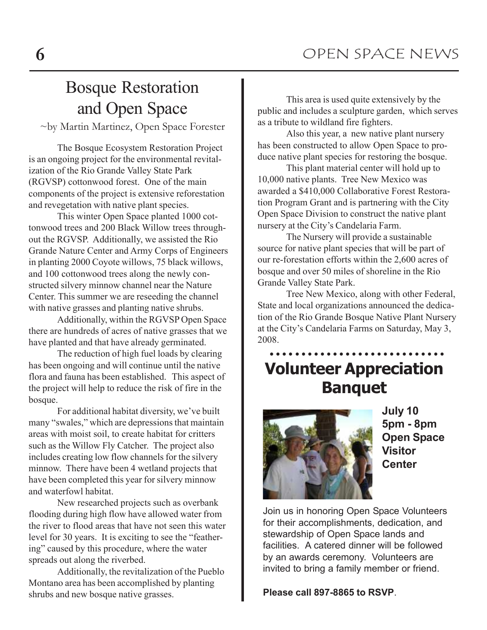# Bosque Restoration and Open Space

~by Martin Martinez, Open Space Forester

The Bosque Ecosystem Restoration Project is an ongoing project for the environmental revitalization of the Rio Grande Valley State Park (RGVSP) cottonwood forest. One of the main components of the project is extensive reforestation and revegetation with native plant species.

This winter Open Space planted 1000 cottonwood trees and 200 Black Willow trees throughout the RGVSP. Additionally, we assisted the Rio Grande Nature Center and Army Corps of Engineers in planting 2000 Coyote willows, 75 black willows, and 100 cottonwood trees along the newly constructed silvery minnow channel near the Nature Center. This summer we are reseeding the channel with native grasses and planting native shrubs.

Additionally, within the RGVSP Open Space there are hundreds of acres of native grasses that we have planted and that have already germinated.

The reduction of high fuel loads by clearing has been ongoing and will continue until the native flora and fauna has been established. This aspect of the project will help to reduce the risk of fire in the bosque.

For additional habitat diversity, we've built many "swales," which are depressions that maintain areas with moist soil, to create habitat for critters such as the Willow Fly Catcher. The project also includes creating low flow channels for the silvery minnow. There have been 4 wetland projects that have been completed this year for silvery minnow and waterfowl habitat.

New researched projects such as overbank flooding during high flow have allowed water from the river to flood areas that have not seen this water level for 30 years. It is exciting to see the "feathering" caused by this procedure, where the water spreads out along the riverbed.

Additionally, the revitalization of the Pueblo Montano area has been accomplished by planting shrubs and new bosque native grasses.

This area is used quite extensively by the public and includes a sculpture garden, which serves as a tribute to wildland fire fighters.

Also this year, a new native plant nursery has been constructed to allow Open Space to produce native plant species for restoring the bosque.

This plant material center will hold up to 10,000 native plants. Tree New Mexico was awarded a \$410,000 Collaborative Forest Restoration Program Grant and is partnering with the City Open Space Division to construct the native plant nursery at the City's Candelaria Farm.

The Nursery will provide a sustainable source for native plant species that will be part of our re-forestation efforts within the 2,600 acres of bosque and over 50 miles of shoreline in the Rio Grande Valley State Park.

Tree New Mexico, along with other Federal, State and local organizations announced the dedication of the Rio Grande Bosque Native Plant Nursery at the City's Candelaria Farms on Saturday, May 3, 2008.

## Volunteer Appreciation Banquet a a a a a a a a a a a a a a a a a a a a a a a a a a a a



July 10 5pm - 8pm Open Space Visitor **Center** 

Join us in honoring Open Space Volunteers for their accomplishments, dedication, and stewardship of Open Space lands and facilities. A catered dinner will be followed by an awards ceremony. Volunteers are invited to bring a family member or friend.

Please call 897-8865 to RSVP.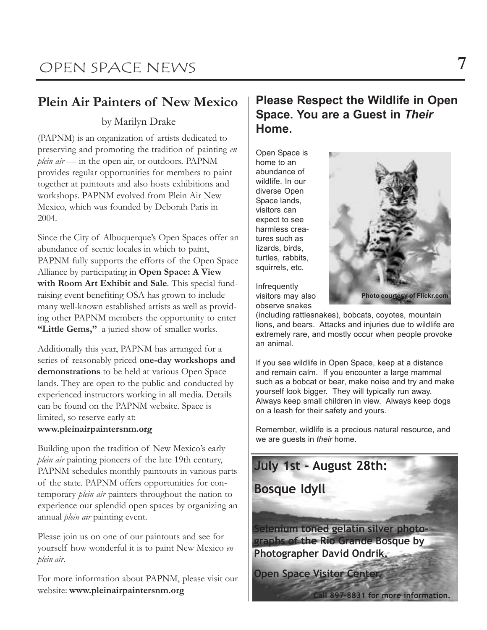## Plein Air Painters of New Mexico

### by Marilyn Drake

(PAPNM) is an organization of artists dedicated to preserving and promoting the tradition of painting en plein air — in the open air, or outdoors. PAPNM provides regular opportunities for members to paint together at paintouts and also hosts exhibitions and workshops. PAPNM evolved from Plein Air New Mexico, which was founded by Deborah Paris in 2004.

Since the City of Albuquerque's Open Spaces offer an abundance of scenic locales in which to paint, PAPNM fully supports the efforts of the Open Space Alliance by participating in Open Space: A View with Room Art Exhibit and Sale. This special fundraising event benefiting OSA has grown to include many well-known established artists as well as providing other PAPNM members the opportunity to enter "Little Gems," a juried show of smaller works.

Additionally this year, PAPNM has arranged for a series of reasonably priced one-day workshops and demonstrations to be held at various Open Space lands. They are open to the public and conducted by experienced instructors working in all media. Details can be found on the PAPNM website. Space is limited, so reserve early at: www.pleinairpaintersnm.org

Building upon the tradition of New Mexico's early plein air painting pioneers of the late 19th century, PAPNM schedules monthly paintouts in various parts of the state. PAPNM offers opportunities for contemporary *plein air* painters throughout the nation to experience our splendid open spaces by organizing an annual *plein air* painting event.

Please join us on one of our paintouts and see for yourself how wonderful it is to paint New Mexico en plein air.

For more information about PAPNM, please visit our website: www.pleinairpaintersnm.org

### Please Respect the Wildlife in Open Space. You are a Guest in Their Home.

Open Space is home to an abundance of wildlife. In our diverse Open Space lands, visitors can expect to see harmless creatures such as lizards, birds, turtles, rabbits, squirrels, etc.



Infrequently visitors may also observe snakes

(including rattlesnakes), bobcats, coyotes, mountain lions, and bears. Attacks and injuries due to wildlife are extremely rare, and mostly occur when people provoke an animal.

If you see wildlife in Open Space, keep at a distance and remain calm. If you encounter a large mammal such as a bobcat or bear, make noise and try and make yourself look bigger. They will typically run away. Always keep small children in view. Always keep dogs on a leash for their safety and yours.

Remember, wildlife is a precious natural resource, and we are guests in their home.

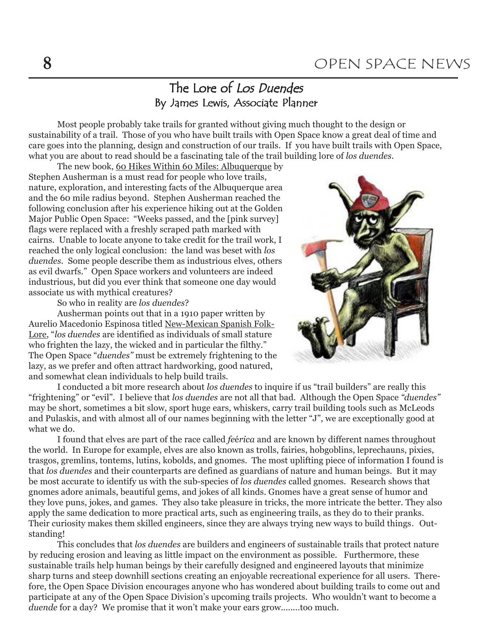### The Lore of Los Duendes By James Lewis, Associate Planner

Most people probably take trails for granted without giving much thought to the design or sustainability of a trail. Those of you who have built trails with Open Space know a great deal of time and care goes into the planning, design and construction of our trails. If you have built trails with Open Space, what you are about to read should be a fascinating tale of the trail building lore of los duendes.

The new book, 60 Hikes Within 60 Miles: Albuquerque by Stephen Ausherman is a must read for people who love trails, nature, exploration, and interesting facts of the Albuquerque area and the 60 mile radius beyond. Stephen Ausherman reached the following conclusion after his experience hiking out at the Golden Major Public Open Space: "Weeks passed, and the [pink survey] flags were replaced with a freshly scraped path marked with cairns. Unable to locate anyone to take credit for the trail work, I reached the only logical conclusion: the land was beset with los duendes. Some people describe them as industrious elves, others as evil dwarfs." Open Space workers and volunteers are indeed industrious, but did you ever think that someone one day would associate us with mythical creatures?

So who in reality are los duendes?

Ausherman points out that in a 1910 paper written by Aurelio Macedonio Espinosa titled New-Mexican Spanish Folk-Lore, "los duendes are identified as individuals of small stature who frighten the lazy, the wicked and in particular the filthy." The Open Space "duendes" must be extremely frightening to the lazy, as we prefer and often attract hardworking, good natured, and somewhat clean individuals to help build trails.



I conducted a bit more research about los duendes to inquire if us "trail builders" are really this "frightening" or "evil". I believe that los duendes are not all that bad. Although the Open Space "duendes" may be short, sometimes a bit slow, sport huge ears, whiskers, carry trail building tools such as McLeods and Pulaskis, and with almost all of our names beginning with the letter "J", we are exceptionally good at what we do.

I found that elves are part of the race called feérica and are known by different names throughout the world. In Europe for example, elves are also known as trolls, fairies, hobgoblins, leprechauns, pixies, trasgos, gremlins, tontems, lutins, kobolds, and gnomes. The most uplifting piece of information I found is that los duendes and their counterparts are defined as guardians of nature and human beings. But it may be most accurate to identify us with the sub-species of los duendes called gnomes. Research shows that gnomes adore animals, beautiful gems, and jokes of all kinds. Gnomes have a great sense of humor and they love puns, jokes, and games. They also take pleasure in tricks, the more intricate the better. They also apply the same dedication to more practical arts, such as engineering trails, as they do to their pranks. Their curiosity makes them skilled engineers, since they are always trying new ways to build things. Outstanding!

This concludes that *los duendes* are builders and engineers of sustainable trails that protect nature by reducing erosion and leaving as little impact on the environment as possible. Furthermore, these sustainable trails help human beings by their carefully designed and engineered layouts that minimize sharp turns and steep downhill sections creating an enjoyable recreational experience for all users. Therefore, the Open Space Division encourages anyone who has wondered about building trails to come out and participate at any of the Open Space Division's upcoming trails projects. Who wouldn't want to become a duende for a day? We promise that it won't make your ears grow........too much.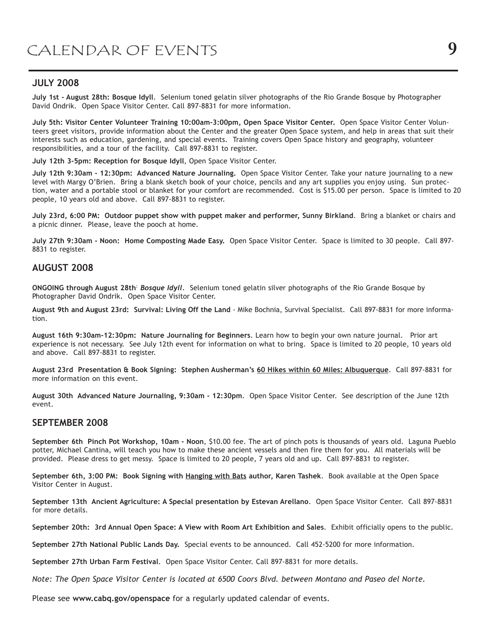#### JULY 2008

July 1st - August 28th: Bosque Idyll. Selenium toned gelatin silver photographs of the Rio Grande Bosque by Photographer David Ondrik. Open Space Visitor Center. Call 897-8831 for more information.

July 5th: Visitor Center Volunteer Training 10:00am-3:00pm, Open Space Visitor Center. Open Space Visitor Center Volunteers greet visitors, provide information about the Center and the greater Open Space system, and help in areas that suit their interests such as education, gardening, and special events. Training covers Open Space history and geography, volunteer responsibilities, and a tour of the facility. Call 897-8831 to register.

July 12th 3-5pm: Reception for Bosque Idyll, Open Space Visitor Center.

July 12th 9:30am - 12:30pm: Advanced Nature Journaling. Open Space Visitor Center. Take your nature journaling to a new level with Margy O'Brien. Bring a blank sketch book of your choice, pencils and any art supplies you enjoy using. Sun protection, water and a portable stool or blanket for your comfort are recommended. Cost is \$15.00 per person. Space is limited to 20 people, 10 years old and above. Call 897-8831 to register.

July 23rd, 6:00 PM: Outdoor puppet show with puppet maker and performer, Sunny Birkland. Bring a blanket or chairs and a picnic dinner. Please, leave the pooch at home.

July 27th 9:30am - Noon: Home Composting Made Easy. Open Space Visitor Center. Space is limited to 30 people. Call 897- 8831 to register.

#### AUGUST 2008

ONGOING through August 28th<sup>:</sup> Bosque Idyll. Selenium toned gelatin silver photographs of the Rio Grande Bosque by Photographer David Ondrik. Open Space Visitor Center.

August 9th and August 23rd: Survival: Living Off the Land - Mike Bochnia, Survival Specialist. Call 897-8831 for more information.

August 16th 9:30am-12:30pm: Nature Journaling for Beginners. Learn how to begin your own nature journal. Prior art experience is not necessary. See July 12th event for information on what to bring. Space is limited to 20 people, 10 years old and above. Call 897-8831 to register.

August 23rd Presentation & Book Signing: Stephen Ausherman's 60 Hikes within 60 Miles: Albuquerque. Call 897-8831 for more information on this event.

August 30th Advanced Nature Journaling, 9:30am - 12:30pm. Open Space Visitor Center. See description of the June 12th event.

#### SEPTEMBER 2008

September 6th Pinch Pot Workshop, 10am - Noon, \$10.00 fee. The art of pinch pots is thousands of years old. Laguna Pueblo potter, Michael Cantina, will teach you how to make these ancient vessels and then fire them for you. All materials will be provided. Please dress to get messy. Space is limited to 20 people, 7 years old and up. Call 897-8831 to register.

September 6th, 3:00 PM: Book Signing with Hanging with Bats author, Karen Tashek. Book available at the Open Space Visitor Center in August.

September 13th Ancient Agriculture: A Special presentation by Estevan Arellano. Open Space Visitor Center. Call 897-8831 for more details.

September 20th: 3rd Annual Open Space: A View with Room Art Exhibition and Sales. Exhibit officially opens to the public.

September 27th National Public Lands Day. Special events to be announced. Call 452-5200 for more information.

September 27th Urban Farm Festival. Open Space Visitor Center. Call 897-8831 for more details.

Note: The Open Space Visitor Center is located at 6500 Coors Blvd. between Montano and Paseo del Norte.

Please see www.cabq.gov/openspace for a regularly updated calendar of events.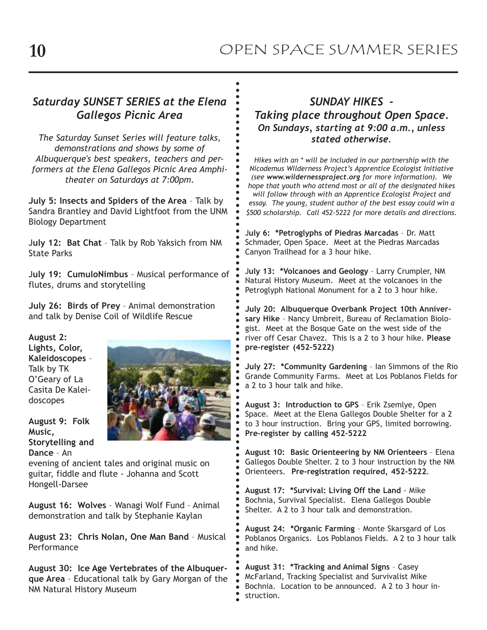a a a a a a a a a a a a a a a a a a a a a a a a a a a a a a a a a a a a a a aa

 a a a a a a a a a a a a a a a a a a a a a a a aa

### Saturday SUNSET SERIES at the Elena Gallegos Picnic Area

The Saturday Sunset Series will feature talks, demonstrations and shows by some of Albuquerque's best speakers, teachers and performers at the Elena Gallegos Picnic Area Amphitheater on Saturdays at 7:00pm.

July 5: Insects and Spiders of the Area – Talk by Sandra Brantley and David Lightfoot from the UNM Biology Department

July 12: Bat Chat – Talk by Rob Yaksich from NM State Parks

July 19: CumuloNimbus – Musical performance of flutes, drums and storytelling

July 26: Birds of Prey – Animal demonstration and talk by Denise Coil of Wildlife Rescue

August 2: Lights, Color, Kaleidoscopes – Talk by TK O'Geary of La Casita De Kaleidoscopes

August 9: Folk Music, Storytelling and Dance – An



evening of ancient tales and original music on guitar, fiddle and flute - Johanna and Scott Hongell-Darsee

August 16: Wolves – Wanagi Wolf Fund – Animal demonstration and talk by Stephanie Kaylan

August 23: Chris Nolan, One Man Band – Musical **Performance** 

August 30: Ice Age Vertebrates of the Albuquerque Area – Educational talk by Gary Morgan of the NM Natural History Museum

### SUNDAY HIKES - Taking place throughout Open Space. On Sundays, starting at 9:00 a.m., unless stated otherwise.

Hikes with an \* will be included in our partnership with the Nicodemus Wilderness Project's Apprentice Ecologist Initiative (see www.wildernessproject.org for more information). We hope that youth who attend most or all of the designated hikes will follow through with an Apprentice Ecologist Project and essay. The young, student author of the best essay could win a \$500 scholarship. Call 452-5222 for more details and directions.

July 6: \*Petroglyphs of Piedras Marcadas – Dr. Matt Schmader, Open Space. Meet at the Piedras Marcadas Canyon Trailhead for a 3 hour hike.

July 13: \*Volcanoes and Geology – Larry Crumpler, NM Natural History Museum. Meet at the volcanoes in the Petroglyph National Monument for a 2 to 3 hour hike.

July 20: Albuquerque Overbank Project 10th Anniversary Hike – Nancy Umbreit, Bureau of Reclamation Biologist. Meet at the Bosque Gate on the west side of the river off Cesar Chavez. This is a 2 to 3 hour hike. Please pre-register (452-5222)

July 27: \*Community Gardening – Ian Simmons of the Rio Grande Community Farms. Meet at Los Poblanos Fields for a 2 to 3 hour talk and hike.

August 3: Introduction to GPS – Erik Zsemlye, Open Space. Meet at the Elena Gallegos Double Shelter for a 2 to 3 hour instruction. Bring your GPS, limited borrowing. Pre-register by calling 452-5222

August 10: Basic Orienteering by NM Orienteers – Elena Gallegos Double Shelter. 2 to 3 hour instruction by the NM Orienteers. Pre-registration required, 452-5222.

August 17: \*Survival: Living Off the Land - Mike Bochnia, Survival Specialist. Elena Gallegos Double Shelter. A 2 to 3 hour talk and demonstration.

August 24: \*Organic Farming – Monte Skarsgard of Los Poblanos Organics. Los Poblanos Fields. A 2 to 3 hour talk and hike.

August 31: \*Tracking and Animal Signs – Casey McFarland, Tracking Specialist and Survivalist Mike Bochnia. Location to be announced. A 2 to 3 hour instruction.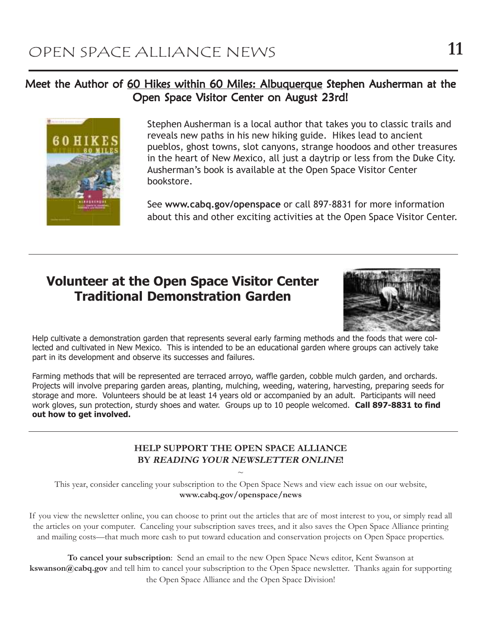### Meet the Author of 60 Hikes within 60 Miles: Albuquerque Stephen Ausherman at the Open Space Visitor Center on August 23rd!



Stephen Ausherman is a local author that takes you to classic trails and reveals new paths in his new hiking guide. Hikes lead to ancient pueblos, ghost towns, slot canyons, strange hoodoos and other treasures in the heart of New Mexico, all just a daytrip or less from the Duke City. Ausherman's book is available at the Open Space Visitor Center bookstore.

See www.cabq.gov/openspace or call 897-8831 for more information about this and other exciting activities at the Open Space Visitor Center.

### Volunteer at the Open Space Visitor Center Traditional Demonstration Garden



Help cultivate a demonstration garden that represents several early farming methods and the foods that were collected and cultivated in New Mexico. This is intended to be an educational garden where groups can actively take part in its development and observe its successes and failures.

Farming methods that will be represented are terraced arroyo, waffle garden, cobble mulch garden, and orchards. Projects will involve preparing garden areas, planting, mulching, weeding, watering, harvesting, preparing seeds for storage and more. Volunteers should be at least 14 years old or accompanied by an adult. Participants will need work gloves, sun protection, sturdy shoes and water. Groups up to 10 people welcomed. Call 897-8831 to find out how to get involved.

#### HELP SUPPORT THE OPEN SPACE ALLIANCE BY READING YOUR NEWSLETTER ONLINE!

 $\sim$ This year, consider canceling your subscription to the Open Space News and view each issue on our website, www.cabq.gov/openspace/news

If you view the newsletter online, you can choose to print out the articles that are of most interest to you, or simply read all the articles on your computer. Canceling your subscription saves trees, and it also saves the Open Space Alliance printing and mailing costs—that much more cash to put toward education and conservation projects on Open Space properties.

To cancel your subscription: Send an email to the new Open Space News editor, Kent Swanson at kswanson@cabq.gov and tell him to cancel your subscription to the Open Space newsletter. Thanks again for supporting the Open Space Alliance and the Open Space Division!